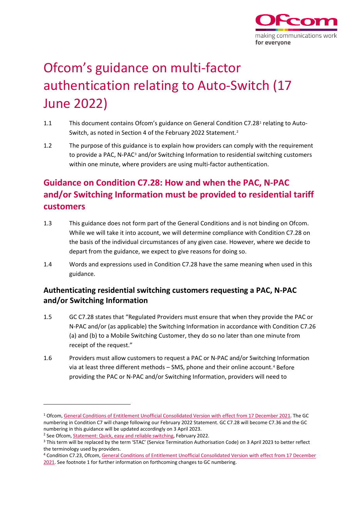

# Ofcom's guidance on multi-factor authentication relating to Auto-Switch (17 June 2022)

- [1](#page-0-0).1 This document contains Ofcom's guidance on General Condition C7.28<sup>1</sup> relating to Auto-Switch, as noted in Section 4 of the February [2](#page-0-1)022 Statement.<sup>2</sup>
- 1.2 The purpose of this guidance is to explain how providers can comply with the requirement to provide a PAC, N-PAC<sup>[3](#page-0-2)</sup> and/or Switching Information to residential switching customers within one minute, where providers are using multi-factor authentication.

## **Guidance on Condition C7.28: How and when the PAC, N-PAC and/or Switching Information must be provided to residential tariff customers**

- 1.3 This guidance does not form part of the General Conditions and is not binding on Ofcom. While we will take it into account, we will determine compliance with Condition C7.28 on the basis of the individual circumstances of any given case. However, where we decide to depart from the guidance, we expect to give reasons for doing so.
- 1.4 Words and expressions used in Condition C7.28 have the same meaning when used in this guidance.

## **Authenticating residential switching customers requesting a PAC, N-PAC and/or Switching Information**

- 1.5 GC C7.28 states that "Regulated Providers must ensure that when they provide the PAC or N-PAC and/or (as applicable) the Switching Information in accordance with Condition C7.26 (a) and (b) to a Mobile Switching Customer, they do so no later than one minute from receipt of the request."
- 1.6 Providers must allow customers to request a PAC or N-PAC and/or Switching Information via at least three different methods – SMS, phone and their online account.[4](#page-0-3) Before providing the PAC or N-PAC and/or Switching Information, providers will need to

<span id="page-0-0"></span><sup>1</sup> Ofcom, [General Conditions of Entitlement Unofficial Consolidated Version with effect from 17](https://www.ofcom.org.uk/__data/assets/pdf_file/0016/209500/annex-3-revised-gc-eecc-17-dec-21.pdf) December 2021. The GC numbering in Condition C7 will change following our February 2022 Statement. GC C7.28 will become C7.36 and the GC numbering in this guidance will be updated accordingly on 3 April 2023.<br><sup>2</sup> See Ofcom, [Statement: Quick, easy and reliable switching,](https://www.ofcom.org.uk/__data/assets/pdf_file/0020/232058/statement-quick-easy-and-reliable-switching.pdf) February 2022.

<span id="page-0-1"></span>

<span id="page-0-2"></span><sup>&</sup>lt;sup>3</sup> This term will be replaced by the term 'STAC' (Service Termination Authorisation Code) on 3 April 2023 to better reflect the terminology used by providers.

<span id="page-0-3"></span><sup>4</sup> Condition C7.23, Ofcom[, General Conditions of Entitlement Unofficial Consolidated Version with effect from 17](https://www.ofcom.org.uk/__data/assets/pdf_file/0016/209500/annex-3-revised-gc-eecc-17-dec-21.pdf) December [2021.](https://www.ofcom.org.uk/__data/assets/pdf_file/0016/209500/annex-3-revised-gc-eecc-17-dec-21.pdf) See footnote 1 for further information on forthcoming changes to GC numbering.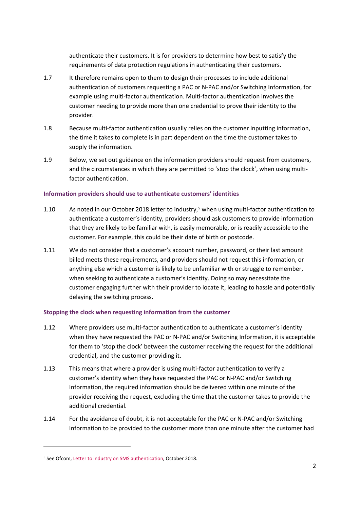authenticate their customers. It is for providers to determine how best to satisfy the requirements of data protection regulations in authenticating their customers.

- 1.7 It therefore remains open to them to design their processes to include additional authentication of customers requesting a PAC or N-PAC and/or Switching Information, for example using multi-factor authentication. Multi-factor authentication involves the customer needing to provide more than one credential to prove their identity to the provider.
- 1.8 Because multi-factor authentication usually relies on the customer inputting information, the time it takes to complete is in part dependent on the time the customer takes to supply the information.
- 1.9 Below, we set out guidance on the information providers should request from customers, and the circumstances in which they are permitted to 'stop the clock', when using multifactor authentication.

### **Information providers should use to authenticate customers' identities**

- 1.10 As noted in our October 2018 letter to industry,<sup>[5](#page-1-0)</sup> when using multi-factor authentication to authenticate a customer's identity, providers should ask customers to provide information that they are likely to be familiar with, is easily memorable, or is readily accessible to the customer. For example, this could be their date of birth or postcode.
- 1.11 We do not consider that a customer's account number, password, or their last amount billed meets these requirements, and providers should not request this information, or anything else which a customer is likely to be unfamiliar with or struggle to remember, when seeking to authenticate a customer's identity. Doing so may necessitate the customer engaging further with their provider to locate it, leading to hassle and potentially delaying the switching process.

### **Stopping the clock when requesting information from the customer**

- 1.12 Where providers use multi-factor authentication to authenticate a customer's identity when they have requested the PAC or N-PAC and/or Switching Information, it is acceptable for them to 'stop the clock' between the customer receiving the request for the additional credential, and the customer providing it.
- 1.13 This means that where a provider is using multi-factor authentication to verify a customer's identity when they have requested the PAC or N-PAC and/or Switching Information, the required information should be delivered within one minute of the provider receiving the request, excluding the time that the customer takes to provide the additional credential.
- 1.14 For the avoidance of doubt, it is not acceptable for the PAC or N-PAC and/or Switching Information to be provided to the customer more than one minute after the customer had

<span id="page-1-0"></span><sup>5</sup> See Ofcom, [Letter to industry on SMS authentication,](https://www.ofcom.org.uk/__data/assets/pdf_file/0027/225684/sms-authentication-letter.pdf) October 2018.